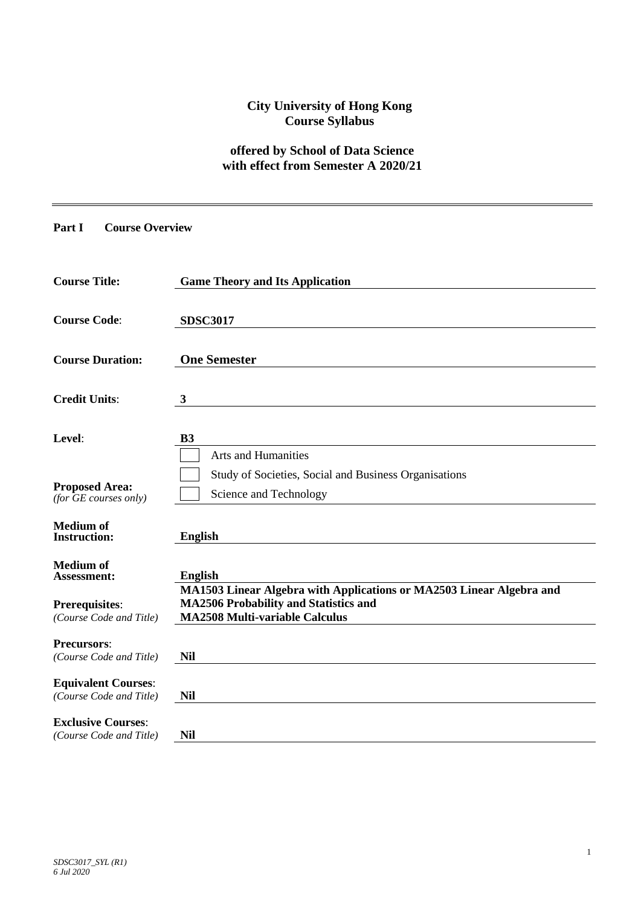# **City University of Hong Kong Course Syllabus**

# **offered by School of Data Science with effect from Semester A 2020/21**

#### **Part I Course Overview**

| <b>Course Title:</b>                                  | <b>Game Theory and Its Application</b>                                                 |
|-------------------------------------------------------|----------------------------------------------------------------------------------------|
| <b>Course Code:</b>                                   | <b>SDSC3017</b>                                                                        |
| <b>Course Duration:</b>                               | <b>One Semester</b>                                                                    |
| <b>Credit Units:</b>                                  | $\mathbf{3}$                                                                           |
| Level:                                                | <b>B3</b><br><b>Arts and Humanities</b>                                                |
| <b>Proposed Area:</b><br>(for $GE$ courses only)      | Study of Societies, Social and Business Organisations<br>Science and Technology        |
| <b>Medium</b> of<br><b>Instruction:</b>               | <b>English</b>                                                                         |
| <b>Medium</b> of<br><b>Assessment:</b>                | <b>English</b><br>MA1503 Linear Algebra with Applications or MA2503 Linear Algebra and |
| <b>Prerequisites:</b><br>(Course Code and Title)      | <b>MA2506 Probability and Statistics and</b><br><b>MA2508 Multi-variable Calculus</b>  |
| <b>Precursors:</b><br>(Course Code and Title)         | <b>Nil</b>                                                                             |
| <b>Equivalent Courses:</b><br>(Course Code and Title) | <b>Nil</b>                                                                             |
| <b>Exclusive Courses:</b><br>(Course Code and Title)  | <b>Nil</b>                                                                             |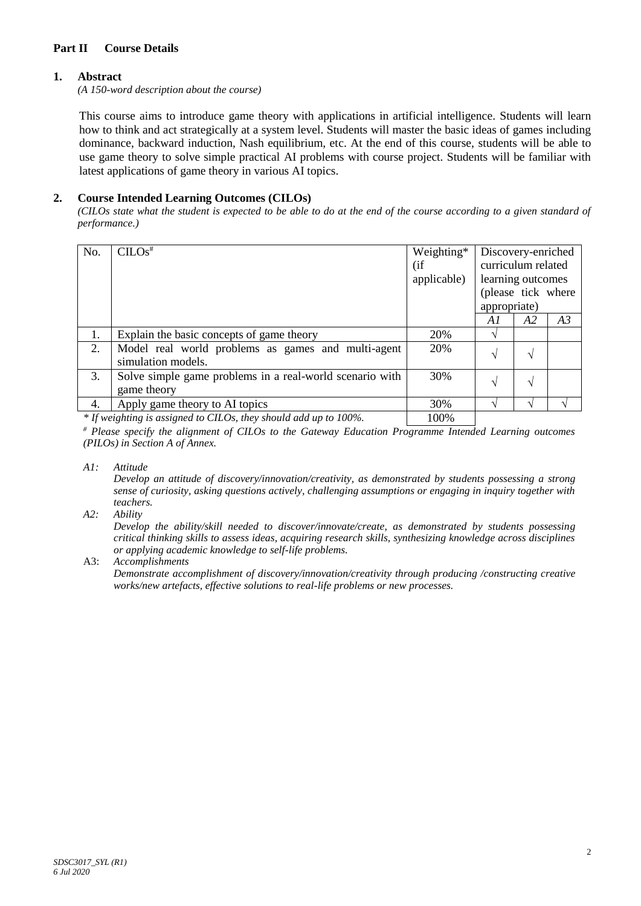## **Part II Course Details**

## **1. Abstract**

*(A 150-word description about the course)*

This course aims to introduce game theory with applications in artificial intelligence. Students will learn how to think and act strategically at a system level. Students will master the basic ideas of games including dominance, backward induction, Nash equilibrium, etc. At the end of this course, students will be able to use game theory to solve simple practical AI problems with course project. Students will be familiar with latest applications of game theory in various AI topics.

# **2. Course Intended Learning Outcomes (CILOs)**

*(CILOs state what the student is expected to be able to do at the end of the course according to a given standard of performance.)*

| No. | CLOS <sup>#</sup>                                                        | Weighting*<br>(i f<br>applicable) | Discovery-enriched<br>curriculum related<br>learning outcomes<br>(please tick where<br>appropriate) |    |    |
|-----|--------------------------------------------------------------------------|-----------------------------------|-----------------------------------------------------------------------------------------------------|----|----|
|     |                                                                          |                                   | A1                                                                                                  | A2 | A3 |
| 1.  | Explain the basic concepts of game theory                                | 20%                               | $\sqrt{ }$                                                                                          |    |    |
| 2.  | Model real world problems as games and multi-agent<br>simulation models. | 20%                               | N                                                                                                   | ٦  |    |
| 3.  | Solve simple game problems in a real-world scenario with<br>game theory  | 30%                               | N                                                                                                   | ٦  |    |
| 4.  | Apply game theory to AI topics                                           | 30%                               |                                                                                                     |    |    |
|     | * If weighting is assigned to CILOs, they should add up to 100%.         | 100%                              |                                                                                                     |    |    |

*\* If weighting is assigned to CILOs, they should add up to 100%.* 100%

*# Please specify the alignment of CILOs to the Gateway Education Programme Intended Learning outcomes (PILOs) in Section A of Annex.* 

#### *A1: Attitude*

*Develop an attitude of discovery/innovation/creativity, as demonstrated by students possessing a strong sense of curiosity, asking questions actively, challenging assumptions or engaging in inquiry together with teachers.*

#### *A2: Ability*

*Develop the ability/skill needed to discover/innovate/create, as demonstrated by students possessing critical thinking skills to assess ideas, acquiring research skills, synthesizing knowledge across disciplines or applying academic knowledge to self-life problems.*

A3: *Accomplishments*

*Demonstrate accomplishment of discovery/innovation/creativity through producing /constructing creative works/new artefacts, effective solutions to real-life problems or new processes.*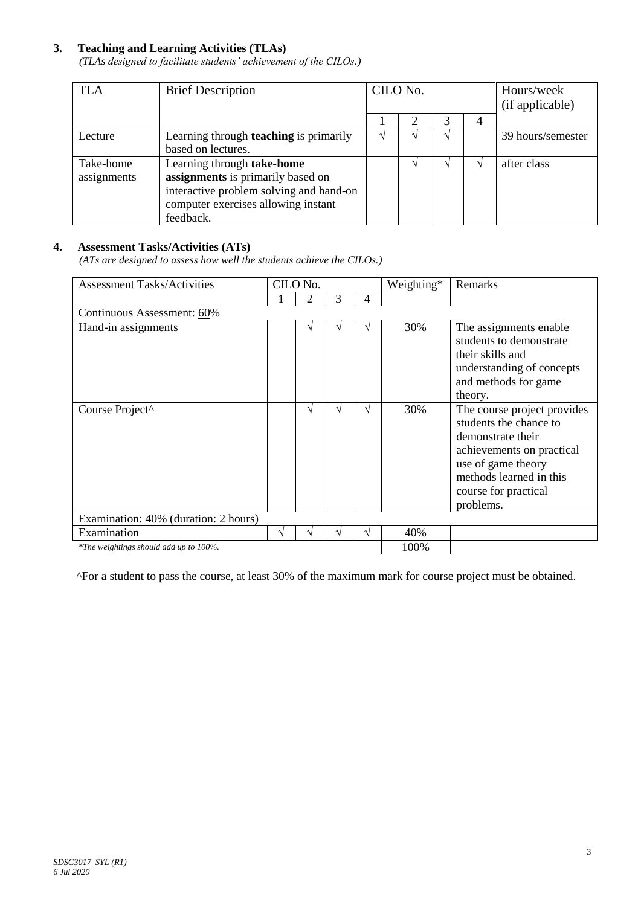## **3. Teaching and Learning Activities (TLAs)**

*(TLAs designed to facilitate students' achievement of the CILOs.)*

| <b>TLA</b>               | <b>Brief Description</b>                                                                                                                                       | CILO No. |  |  | Hours/week<br>(if applicable) |                   |
|--------------------------|----------------------------------------------------------------------------------------------------------------------------------------------------------------|----------|--|--|-------------------------------|-------------------|
|                          |                                                                                                                                                                |          |  |  | 4                             |                   |
| Lecture                  | Learning through <b>teaching</b> is primarily<br>based on lectures.                                                                                            |          |  |  |                               | 39 hours/semester |
| Take-home<br>assignments | Learning through take-home<br>assignments is primarily based on<br>interactive problem solving and hand-on<br>computer exercises allowing instant<br>feedback. |          |  |  |                               | after class       |

## **4. Assessment Tasks/Activities (ATs)**

*(ATs are designed to assess how well the students achieve the CILOs.)*

| <b>Assessment Tasks/Activities</b>     | CILO No. |   | Weighting* | Remarks |      |                                                                                                                                                                                               |
|----------------------------------------|----------|---|------------|---------|------|-----------------------------------------------------------------------------------------------------------------------------------------------------------------------------------------------|
|                                        |          | 2 | 3          | 4       |      |                                                                                                                                                                                               |
| Continuous Assessment: 60%             |          |   |            |         |      |                                                                                                                                                                                               |
| Hand-in assignments                    |          |   |            | V       | 30%  | The assignments enable<br>students to demonstrate<br>their skills and<br>understanding of concepts<br>and methods for game<br>theory.                                                         |
| Course Project^                        |          | ٦ | ٦Ι         | V       | 30%  | The course project provides<br>students the chance to<br>demonstrate their<br>achievements on practical<br>use of game theory<br>methods learned in this<br>course for practical<br>problems. |
| Examination: 40% (duration: 2 hours)   |          |   |            |         |      |                                                                                                                                                                                               |
| Examination                            |          |   |            | V       | 40%  |                                                                                                                                                                                               |
| *The weightings should add up to 100%. |          |   |            |         | 100% |                                                                                                                                                                                               |

^For a student to pass the course, at least 30% of the maximum mark for course project must be obtained.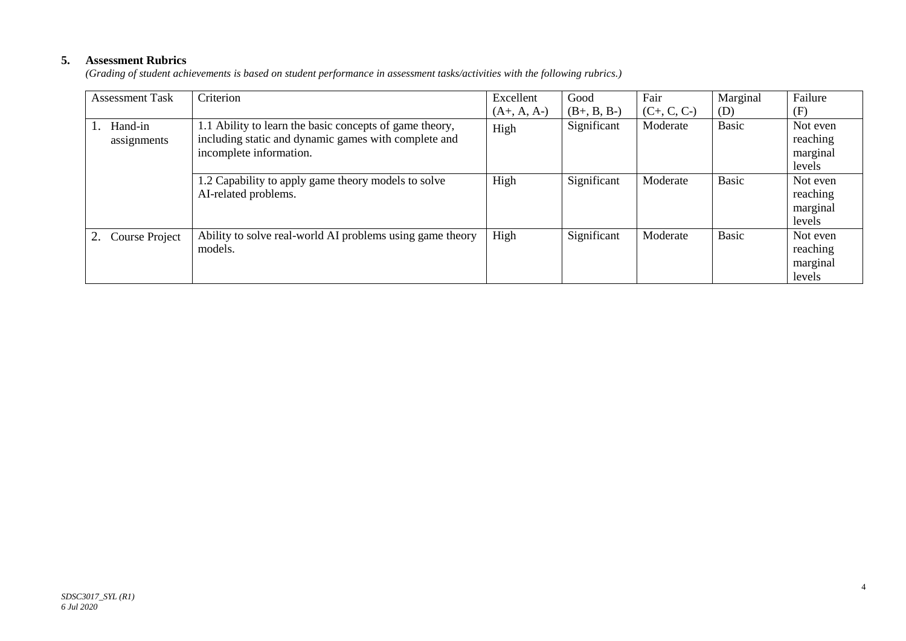# **5. Assessment Rubrics**

*(Grading of student achievements is based on student performance in assessment tasks/activities with the following rubrics.)*

| <b>Assessment Task</b> | Criterion                                                                                                                                  | Excellent     | Good          | Fair          | Marginal     | Failure                                    |
|------------------------|--------------------------------------------------------------------------------------------------------------------------------------------|---------------|---------------|---------------|--------------|--------------------------------------------|
|                        |                                                                                                                                            | $(A+, A, A-)$ | $(B+, B, B-)$ | $(C+, C, C-)$ | (D)          | (F)                                        |
| Hand-in<br>assignments | 1.1 Ability to learn the basic concepts of game theory,<br>including static and dynamic games with complete and<br>incomplete information. | High          | Significant   | Moderate      | <b>Basic</b> | Not even<br>reaching<br>marginal<br>levels |
|                        | 1.2 Capability to apply game theory models to solve<br>AI-related problems.                                                                | High          | Significant   | Moderate      | <b>Basic</b> | Not even<br>reaching<br>marginal<br>levels |
| Course Project         | Ability to solve real-world AI problems using game theory<br>models.                                                                       | High          | Significant   | Moderate      | <b>Basic</b> | Not even<br>reaching<br>marginal<br>levels |